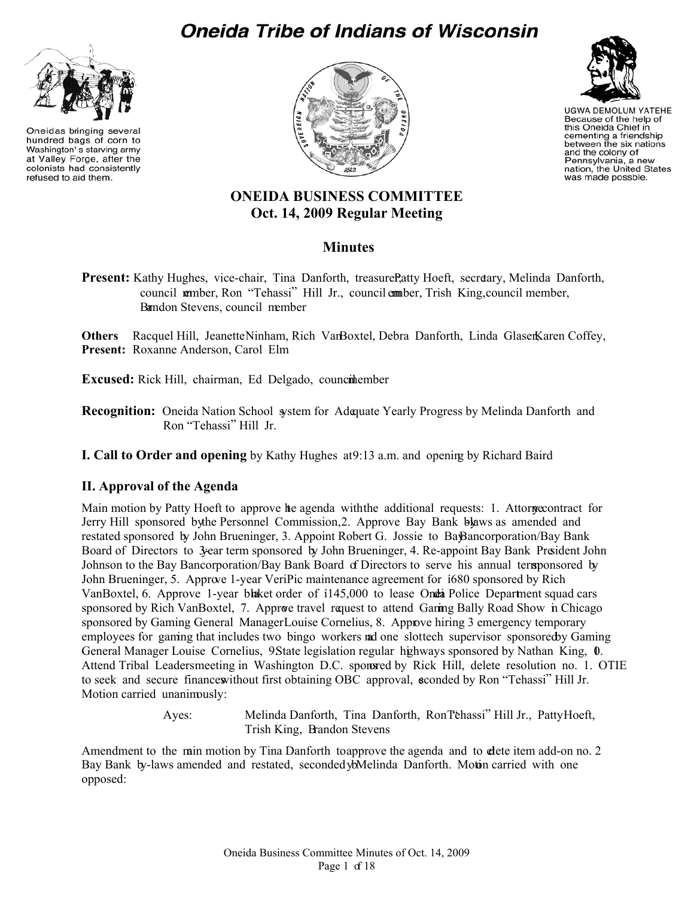# **Oneida Tribe of Indians of Wisconsin**



Oneidas bringing several hundred bags of corn to Washington's starving army at Valley Forge, after the colonists had consistently refused to aid them.





**UGWA DEMOLUM YATEHE** Because of the help of this Oneida Chief in cementing a friendship<br>between the six nations and the colony of Pennsylvania, a new nation, the United States was made possble.

# **ONEIDA BUSINESS COMMITTEE Oct. 14, 2009 Regular Meeting**

# **Minutes**

**Present:** Kathy Hughes, vice-chair, Tina Danforth, treasure Patty Hoeft, secretary, Melinda Danforth, council member, Ron "Tehassi" Hill Jr., council member, Trish King, council member, Brandon Stevens, council member

Others Racquel Hill, Jeanette Ninham, Rich VanBoxtel, Debra Danforth, Linda GlasenKaren Coffey, **Present:** Roxanne Anderson, Carol Elm

**Excused:** Rick Hill, chairman, Ed Delgado, council ember

Recognition: Oneida Nation School system for Adequate Yearly Progress by Melinda Danforth and Ron "Tehassi" Hill Jr.

**I. Call to Order and opening** by Kathy Hughes at 9:13 a.m. and opening by Richard Baird

## **II. Approval of the Agenda**

Main motion by Patty Hoeft to approve he agenda with the additional requests: 1. Attorney contract for Jerry Hill sponsored by the Personnel Commission, 2. Approve Bay Bank by a amended and restated sponsored by John Brueninger, 3. Appoint Robert G. Jossie to Ba $\mathcal B$ ancorporation/Bay Bank Board of Directors to 3-year term sponsored by John Brueninger, 4. Re-appoint Bay Bank President John Johnson to the Bay Bancorporation/Bay Bank Board of Directors to serve his annual term ponsored by John Brueninger, 5. Approve 1-year VeriPic maintenance agreement for  $680$  sponsored by Rich VanBoxtel, 6. Approve 1-year blaket order of 1145,000 to lease Onda Police Department squad cars sponsored by Rich VanBoxtel, 7. Approve travel request to attend Garing Bally Road Show in Chicago sponsored by Gaming General Manager Louise Cornelius, 8. Approve hiring 3 emergency temporary employees for gaming that includes two bingo workers and one slottech supervisor sponsored by Gaming General Manager Louise Cornelius, 9State legislation regular highways sponsored by Nathan King, 0. Attend Tribal Leaders meeting in Washington D.C. sponsed by Rick Hill, delete resolution no. 1. OTIE to seek and secure finances without first obtaining OBC approval, seconded by Ron "Tehassi" Hill Jr. Motion carried unanimously:

> Ayes: Melinda Danforth, Tina Danforth, Ron "Tehassi" Hill Jr., Patty Hoeft, Trish King, Brandon Stevens

Amendment to the main motion by Tina Danforth to approve the agenda and to dete item add-on no. 2 Bay Bank by-laws amended and restated, seconded bMelinda Danforth. Motin carried with one opposed: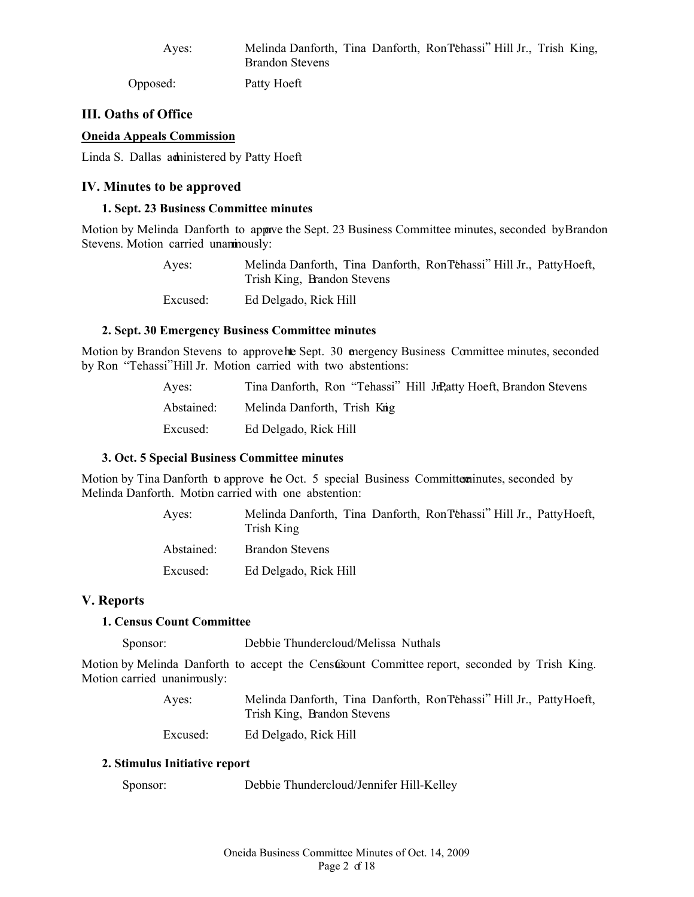Ayes: Melinda Danforth, Tina Danforth, Ron Tehassi" Hill Jr., Trish King, Brandon Stevens

Opposed: Patty Hoeft

## **III. Oaths of Office**

#### **Oneida Appeals Commission**

Linda S. Dallas administered by Patty Hoeft

#### **IV. Minutes to be approved**

#### **1. Sept. 23 Business Committee minutes**

Motion by Melinda Danforth to approve the Sept. 23 Business Committee minutes, seconded by Brandon Stevens. Motion carried unaninously:

> Ayes: Melinda Danforth, Tina Danforth, Ron "Tehassi" Hill Jr., Patty Hoeft, Trish King, Brandon Stevens Excused: Ed Delgado, Rick Hill

#### **2. Sept. 30 Emergency Business Committee minutes**

Motion by Brandon Stevens to approve hte Sept. 30 emergency Business Committee minutes, seconded by Ron "Tehassi" Hill Jr. Motion carried with two abstentions:

| Aves:      | Tina Danforth, Ron "Tehassi" Hill JrPatty Hoeft, Brandon Stevens |
|------------|------------------------------------------------------------------|
| Abstained: | Melinda Danforth, Trish Knig                                     |
| Excused:   | Ed Delgado, Rick Hill                                            |

#### **3. Oct. 5 Special Business Committee minutes**

Motion by Tina Danforth to approve the Oct. 5 special Business Committer minutes, seconded by Melinda Danforth. Motion carried with one abstention:

| Aves:      | Melinda Danforth, Tina Danforth, Ron Téhassi" Hill Jr., Patty Hoeft,<br>Trish King |
|------------|------------------------------------------------------------------------------------|
| Abstained: | <b>Brandon Stevens</b>                                                             |
| Excused:   | Ed Delgado, Rick Hill                                                              |

#### **V. Reports**

#### **1. Census Count Committee**

Sponsor: Debbie Thundercloud/Melissa Nuthals

Motion by Melinda Danforth to accept the Census Committee report, seconded by Trish King. Motion carried unanimously:

> Ayes: Melinda Danforth, Tina Danforth, Ron "Tehassi" Hill Jr., Patty Hoeft, Trish King, Brandon Stevens

Excused: Ed Delgado, Rick Hill

#### **2. Stimulus Initiative report**

Sponsor: Debbie Thundercloud/Jennifer Hill-Kelley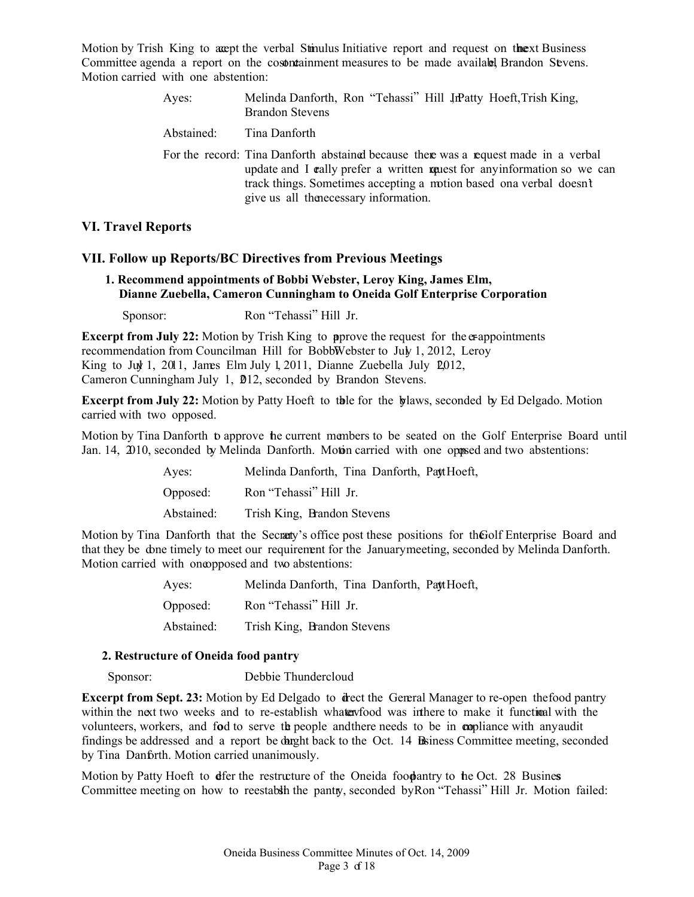Motion by Trish King to accept the verbal Stimulus Initiative report and request on the ext Business Committee agenda a report on the costorial interest containment measures to be made available Brandon Stevens. Motion carried with one abstention:

| Ayes:      | Melinda Danforth, Ron "Tehassi" Hill JrPatty Hoeft, Trish King,<br><b>Brandon Stevens</b>                                                                                                                                                                                          |
|------------|------------------------------------------------------------------------------------------------------------------------------------------------------------------------------------------------------------------------------------------------------------------------------------|
| Abstained: | Tina Danforth                                                                                                                                                                                                                                                                      |
|            | For the record: Tina Danforth abstained because there was a request made in a verbal<br>update and I cally prefer a written context for any information so we can<br>track things. Sometimes accepting a motion based ona verbal doesn't<br>give us all the necessary information. |

## **VI. Travel Reports**

## **VII. Follow up Reports/BC Directives from Previous Meetings**

## **1. Recommend appointments of Bobbi Webster, Leroy King, James Elm, Dianne Zuebella, Cameron Cunningham to Oneida Golf Enterprise Corporation**

Sponsor: Ron "Tehassi" Hill Jr.

**Excerpt from July 22:** Motion by Trish King to prove the request for the exappointments recommendation from Councilman Hill for BobbWebster to July 1, 2012, Leroy King to July 1, 2011, James Elm July 1, 2011, Dianne Zuebella July  $\sqrt{2012}$ , Cameron Cunningham July 1, 2012, seconded by Brandon Stevens.

**Excerpt from July 22:** Motion by Patty Hoeft to the bylameter by expect to Ed Delgado. Motion carried with two opposed.

Motion by Tina Danforth to approve the current members to be seated on the Golf Enterprise Board until Jan. 14, 2010, seconded by Melinda Danforth. Motion carried with one opposed and two abstentions:

| Aves:      | Melinda Danforth, Tina Danforth, Patt Hoeft, |
|------------|----------------------------------------------|
| Opposed:   | Ron "Tehassi" Hill Jr.                       |
| Abstained: | Trish King, Brandon Stevens                  |

Motion by Tina Danforth that the Secrety's office post these positions for the Golf Enterprise Board and that they be done timely to meet our requirement for the January meeting, seconded by Melinda Danforth. Motion carried with one opposed and two abstentions:

| Ayes:      | Melinda Danforth, Tina Danforth, Patt Hoeft, |
|------------|----------------------------------------------|
| Opposed:   | Ron "Tehassi" Hill Jr.                       |
| Abstained: | Trish King, Brandon Stevens                  |

## **2. Restructure of Oneida food pantry**

Sponsor: Debbie Thundercloud

**Excerpt from Sept. 23:** Motion by Ed Delgado to direct the General Manager to re-open the food pantry within the next two weeks and to re-establish what evolved was in there to make it functional with the volunteers, workers, and fod to serve the people and there needs to be in compliance with any audit findings be addressed and a report be dught back to the Oct. 14 Beiness Committee meeting, seconded by Tina Danforth. Motion carried unanimously.

Motion by Patty Hoeft to deter the restructure of the Oneida food pantry to the Oct. 28 Busines Committee meeting on how to reestablish the pantry, seconded by Ron "Tehassi" Hill Jr. Motion failed: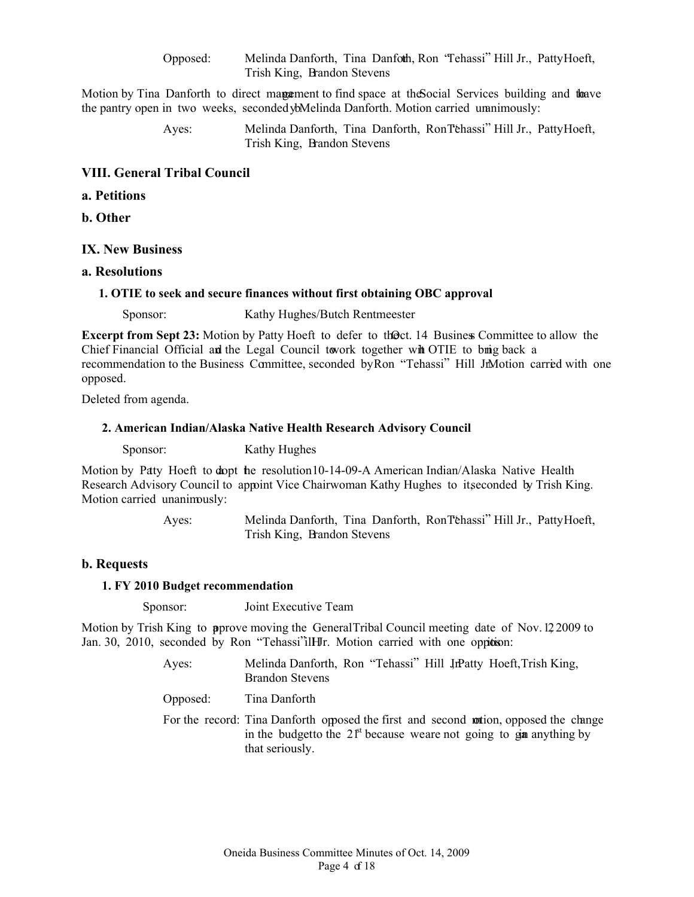Opposed: Melinda Danforth, Tina Danforth, Ron "Tehassi" Hill Jr., Patty Hoeft, Trish King, Brandon Stevens

Motion by Tina Danforth to direct magament to find space at the Social Services building and the ave the pantry open in two weeks, seconded ybMelinda Danforth. Motion carried unanimously:

> Ayes: Melinda Danforth, Tina Danforth, Ron "Tehassi" Hill Jr., Patty Hoeft, Trish King, Brandon Stevens

#### **VIII. General Tribal Council**

- **a. Petitions**
- **b. Other**

## **IX. New Business**

#### **a. Resolutions**

#### **1. OTIE to seek and secure finances without first obtaining OBC approval**

Sponsor: Kathy Hughes/Butch Rentmeester

**Excerpt from Sept 23:** Motion by Patty Hoeft to defer to thoct. 14 Business Committee to allow the Chief Financial Official and the Legal Council to work together with OTIE to bring back a recommendation to the Business Committee, seconded by Ron "Tehassi" Hill Jr. Motion carried with one opposed.

Deleted from agenda.

#### **2. American Indian/Alaska Native Health Research Advisory Council**

**Sponsor:** Kathy Hughes

Motion by Patty Hoeft to dopt the resolution 10-14-09-A American Indian/Alaska Native Health Research Advisory Council to appoint Vice Chairwoman Kathy Hughes to itseconded by Trish King. Motion carried unanimously:

> Ayes: Melinda Danforth, Tina Danforth, Ron "Tehassi" Hill Jr., Patty Hoeft, Trish King, Brandon Stevens

#### **b. Requests**

#### **1. FY 2010 Budget recommendation**

Sponsor: Joint Executive Team

Motion by Trish King to **a**pprove moving the General Tribal Council meeting date of Nov.  $12\,2009$  to Jan. 30, 2010, seconded by Ron "Tehassi" ill HIr. Motion carried with one oppiden:

> Ayes: Melinda Danforth, Ron "Tehassi" Hill JrPatty Hoeft, Trish King, Brandon Stevens

Opposed: Tina Danforth

For the record: Tina Danforth opposed the first and second motion, opposed the change in the budget to the  $21<sup>st</sup>$  because we are not going to gain anything by that seriously.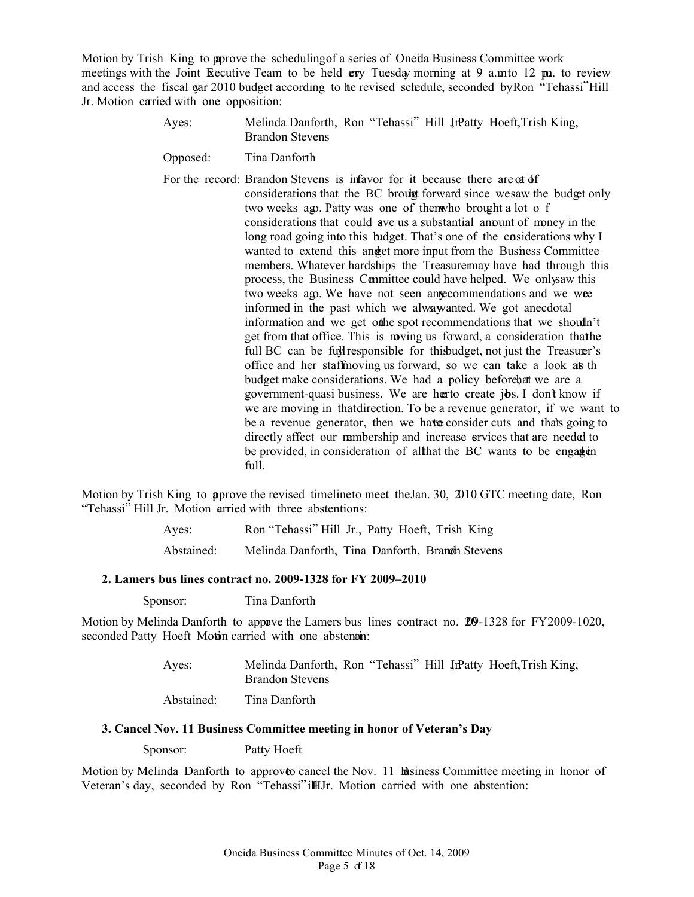Motion by Trish King to prove the scheduling of a series of Oneila Business Committee work meetings with the Joint Executive Team to be held **ev**y Tuesday morning at 9 a.m. to 12 pm. to review and access the fiscal gar 2010 budget according to the revised schedule, seconded by Ron "Tehassi" Hill Jr. Motion carried with one opposition:

- Ayes: Melinda Danforth, Ron "Tehassi" Hill JrPatty Hoeft, Trish King, Brandon Stevens
- Opposed: Tina Danforth

For the record: Brandon Stevens is in favor for it because there are at of considerations that the BC brought forward since we saw the budget only two weeks ago. Patty was one of them who brought a lot o f considerations that could ave us a substantial amount of money in the long road going into this budget. That's one of the considerations why I wanted to extend this and get more input from the Business Committee members. Whatever hardships the Treasure may have had through this process, the Business Committee could have helped. We only aw this two weeks ago. We have not seen annecommendations and we wee informed in the past which we always anted. We got anecdotal information and we get othe spot recommendations that we shouldn't get from that office. This is moving us forward, a consideration that the full BC can be full responsible for this budget, not just the Treasurer's office and her staffmoving us forward, so we can take a look at the budget make considerations. We had a policy before, that we are a government-quasi business. We are herto create jbs. I don't know if we are moving in that direction. To be a revenue generator, if we want to be a revenue generator, then we have consider cuts and that's going to directly affect our membership and increase services that are needed to be provided, in consideration of all that the BC wants to be engagen full.

Motion by Trish King to prove the revised timeline to meet the Jan. 30, 2010 GTC meeting date, Ron "Tehassi" Hill Jr. Motion arried with three abstentions:

| Aves:      | Ron "Tehassi" Hill Jr., Patty Hoeft, Trish King |
|------------|-------------------------------------------------|
| Abstained: | Melinda Danforth, Tina Danforth, Branch Stevens |

#### **2. Lamers bus lines contract no. 2009-1328 for FY 2009–2010**

**Sponsor:** Tina Danforth

Motion by Melinda Danforth to appave the Lamers bus lines contract no. 200-1328 for FY2009-1020, seconded Patty Hoeft Motin carried with one abstentin:

| Aves:      | Melinda Danforth, Ron "Tehassi" Hill JrPatty Hoeft, Trish King,<br><b>Brandon Stevens</b> |
|------------|-------------------------------------------------------------------------------------------|
| Abstained: | Tina Danforth                                                                             |

## **3. Cancel Nov. 11 Business Committee meeting in honor of Veteran's Day**

**Sponsor:** Patty Hoeft

Motion by Melinda Danforth to approve cancel the Nov. 11 Business Committee meeting in honor of Veteran's day, seconded by Ron "Tehassi" ill Jr. Motion carried with one abstention: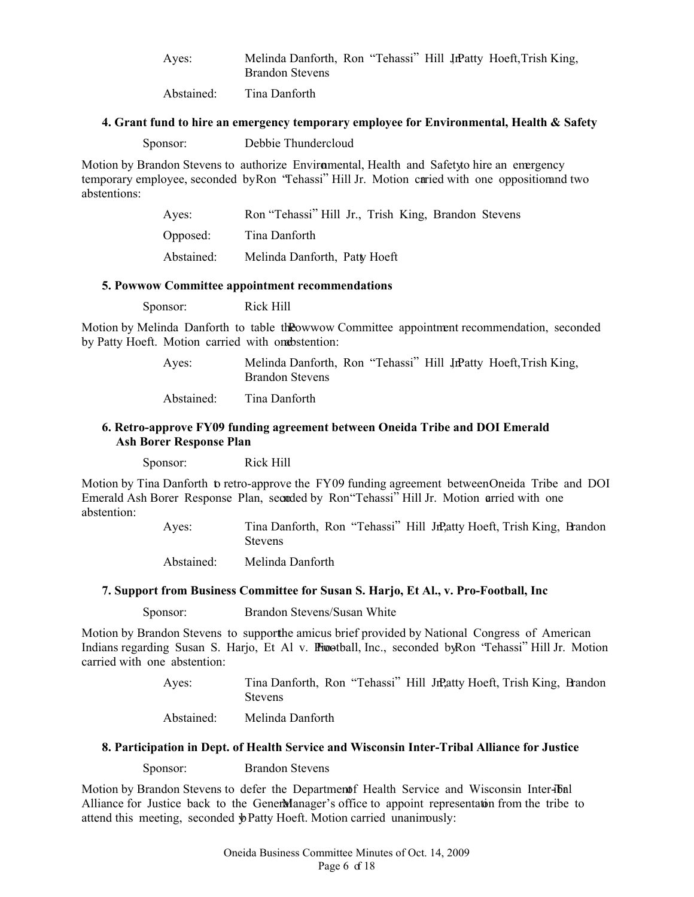Ayes: Melinda Danforth, Ron "Tehassi" Hill JrPatty Hoeft, Trish King, Brandon Stevens

Abstained: Tina Danforth

#### **4. Grant fund to hire an emergency temporary employee for Environmental, Health & Safety**

| Debbie Thundercloud<br>Sponsor: |
|---------------------------------|
|---------------------------------|

Motion by Brandon Stevens to authorize Environmental, Health and Safety to hire an emergency temporary employee, seconded by Ron 'Tehassi'' Hill Jr. Motion caried with one opposition and two abstentions:

| Aves:      | Ron "Tehassi" Hill Jr., Trish King, Brandon Stevens |
|------------|-----------------------------------------------------|
| Opposed:   | Tina Danforth                                       |
| Abstained: | Melinda Danforth, Patty Hoeft                       |

#### **5. Powwow Committee appointment recommendations**

Sponsor: Rick Hill

Motion by Melinda Danforth to table the Owwow Committee appointment recommendation, seconded by Patty Hoeft. Motion carried with one bstention:

> Ayes: Melinda Danforth, Ron "Tehassi" Hill JrPatty Hoeft, Trish King, Brandon Stevens

Abstained: Tina Danforth

## **6. Retro-approve FY09 funding agreement between Oneida Tribe and DOI Emerald Ash Borer Response Plan**

Sponsor: Rick Hill

Motion by Tina Danforth to retro-approve the FY 09 funding agreement between Oneida Tribe and DOI Emerald Ash Borer Response Plan, seconded by Ron "Tehassi" Hill Jr. Motion arried with one abstention:

> Ayes: Tina Danforth, Ron "Tehassi" Hill Jr., Hatty Hoeft, Trish King, Brandon **Stevens**

Abstained: Melinda Danforth

## **7. Support from Business Committee for Susan S. Harjo, Et Al., v. Pro-Football, Inc**

**Sponsor:** Brandon Stevens/Susan White

Motion by Brandon Stevens to support the amicus brief provided by National Congress of American Indians regarding Susan S. Harjo, Et Al v. Prootball, Inc., seconded by Ron "Tehassi" Hill Jr. Motion carried with one abstention:

> Ayes: Tina Danforth, Ron "Tehassi" Hill Jr., Patty Hoeft, Trish King, Brandon Stevens

Abstained: Melinda Danforth

#### **8. Participation in Dept. of Health Service and Wisconsin Inter-Tribal Alliance for Justice**

**Sponsor:** Brandon Stevens

Motion by Brandon Stevens to defer the Department Health Service and Wisconsin Inter-Juin Alliance for Justice back to the Genermanager's office to appoint representation from the tribe to attend this meeting, seconded  $\oint$ Patty Hoeft. Motion carried unanimously: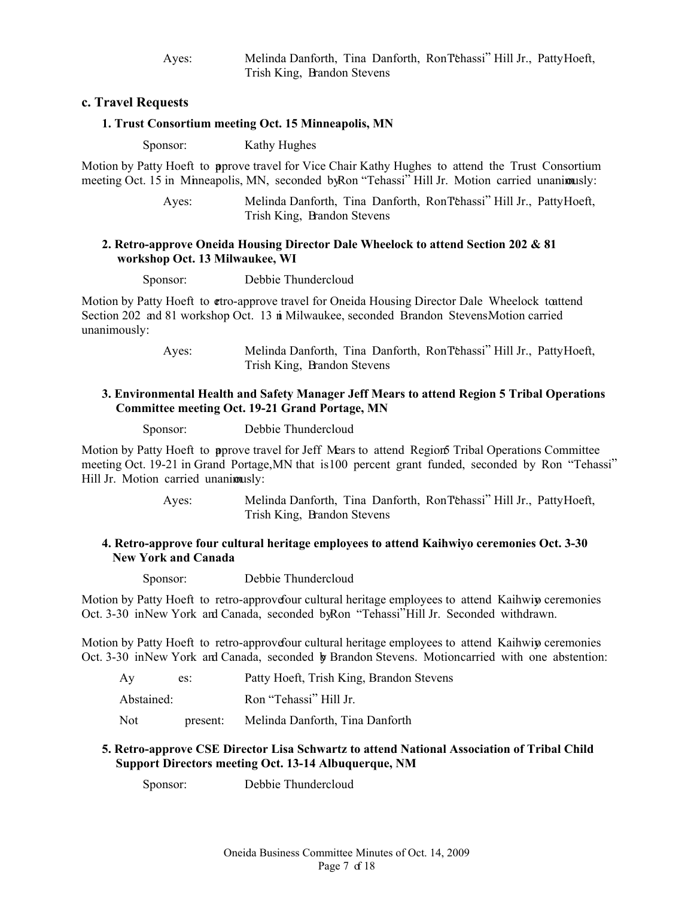Ayes: Melinda Danforth, Tina Danforth, Ron "Tehassi" Hill Jr., Patty Hoeft, Trish King, Brandon Stevens

## **c. Travel Requests**

#### **1. Trust Consortium meeting Oct. 15 Minneapolis, MN**

**Sponsor:** Kathy Hughes

Motion by Patty Hoeft to approve travel for Vice Chair Kathy Hughes to attend the Trust Consortium meeting Oct. 15 in Minneapolis, MN, seconded by Ron "Tehassi" Hill Jr. Motion carried unanimusly:

> Ayes: Melinda Danforth, Tina Danforth, Ron "Tehassi" Hill Jr., Patty Hoeft, Trish King, Brandon Stevens

## **2. Retro-approve Oneida Housing Director Dale Wheelock to attend Section 202 & 81 workshop Oct. 13 Milwaukee, WI**

**Sponsor:** Debbie Thundercloud

Motion by Patty Hoeft to **etro-approve travel for Oneida Housing Director Dale Wheelock to attend** Section 202 and 81 workshop Oct. 13 in Milwaukee, seconded Brandon StevensMotion carried unanimously:

> Ayes: Melinda Danforth, Tina Danforth, Ron "Tehassi" Hill Jr., Patty Hoeft, Trish King, Brandon Stevens

## **3. Environmental Health and Safety Manager Jeff Mears to attend Region 5 Tribal Operations Committee meeting Oct. 19-21 Grand Portage, MN**

**Sponsor:** Debbie Thundercloud

Motion by Patty Hoeft to **a**pprove travel for Jeff Mears to attend Region 5 Tribal Operations Committee meeting Oct. 19-21 in Grand Portage, MN that is 100 percent grant funded, seconded by Ron "Tehassi" Hill Jr. Motion carried unanimusly:

> Ayes: Melinda Danforth, Tina Danforth, Ron "Tehassi" Hill Jr., Patty Hoeft, Trish King, Brandon Stevens

## **4. Retro-approve four cultural heritage employees to attend Kaihwiyo ceremonies Oct. 3-30 New York and Canada**

**Sponsor:** Debbie Thundercloud

Motion by Patty Hoeft to retro-approve four cultural heritage employees to attend Kaihwiy ceremonies Oct. 3-30 in New York and Canada, seconded by Ron "Tehassi" Hill Jr. Seconded withdrawn.

Motion by Patty Hoeft to retro-approve four cultural heritage employees to attend Kaihwiy ceremonies Oct. 3-30 in New York and Canada, seconded by Brandon Stevens. Motion carried with one abstention:

| Av         | es:      | Patty Hoeft, Trish King, Brandon Stevens |
|------------|----------|------------------------------------------|
| Abstained: |          | Ron "Tehassi" Hill Jr.                   |
| Not        | present: | Melinda Danforth, Tina Danforth          |

## **5. Retro-approve CSE Director Lisa Schwartz to attend National Association of Tribal Child Support Directors meeting Oct. 13-14 Albuquerque, NM**

**Sponsor:** Debbie Thundercloud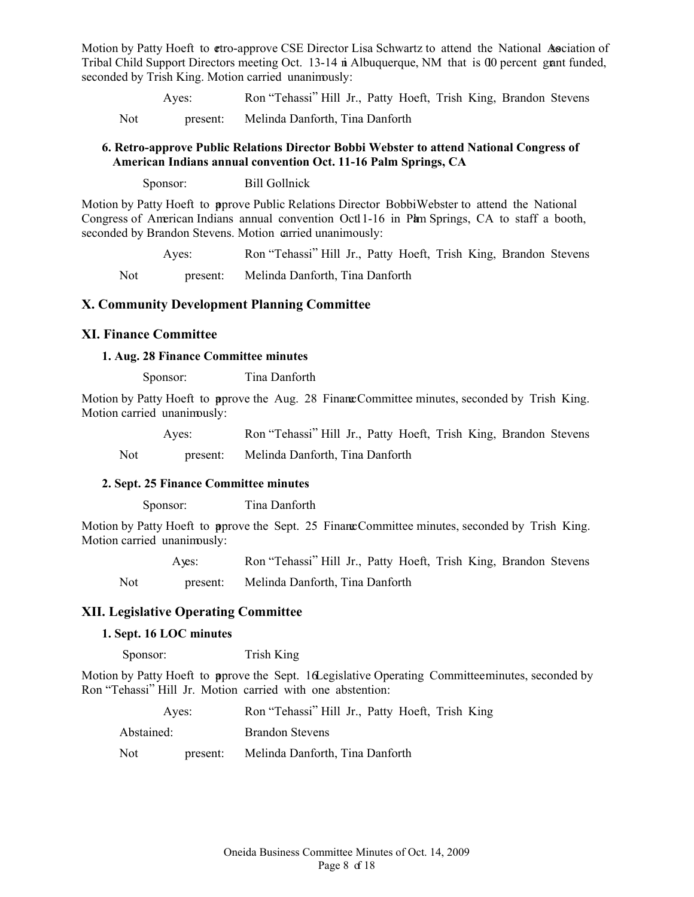Motion by Patty Hoeft to **etro-approve CSE Director Lisa Schwartz** to attend the National Association of Tribal Child Support Directors meeting Oct. 13-14 in Albuquerque, NM that is 00 percent grant funded, seconded by Trish King. Motion carried unanimously:

 Ayes: Ron "Tehassi" Hill Jr., Patty Hoeft, Trish King, Brandon Stevens Not present: Melinda Danforth, Tina Danforth

## **6. Retro-approve Public Relations Director Bobbi Webster to attend National Congress of American Indians annual convention Oct. 11-16 Palm Springs, CA**

Sponsor: Bill Gollnick

Motion by Patty Hoeft to approve Public Relations Director Bobbi Webster to attend the National Congress of American Indians annual convention Octl 1-16 in Pam Springs, CA to staff a booth, seconded by Brandon Stevens. Motion carried unanimously:

 Ayes: Ron "Tehassi" Hill Jr., Patty Hoeft, Trish King, Brandon Stevens Not present: Melinda Danforth, Tina Danforth

## **X. Community Development Planning Committee**

## **XI. Finance Committee**

## **1. Aug. 28 Finance Committee minutes**

**Sponsor:** Tina Danforth

Motion by Patty Hoeft to pprove the Aug. 28 Finance Committee minutes, seconded by Trish King. Motion carried unanimously:

 Ayes: Ron "Tehassi" Hill Jr., Patty Hoeft, Trish King, Brandon Stevens Not present: Melinda Danforth, Tina Danforth

## **2. Sept. 25 Finance Committee minutes**

**Sponsor:** Tina Danforth

Motion by Patty Hoeft to **a**prove the Sept. 25 Finance Committee minutes, seconded by Trish King. Motion carried unanimously:

|     | Aves:    | Ron "Tehassi" Hill Jr., Patty Hoeft, Trish King, Brandon Stevens |
|-----|----------|------------------------------------------------------------------|
| Not | present: | Melinda Danforth, Tina Danforth                                  |

## **XII. Legislative Operating Committee**

## **1. Sept. 16 LOC minutes**

**Sponsor:** Trish King

Motion by Patty Hoeft to **a**prove the Sept. 16 Legislative Operating Committeen mutes, seconded by Ron "Tehassi" Hill Jr. Motion carried with one abstention:

|            | Aves:    | Ron "Tehassi" Hill Jr., Patty Hoeft, Trish King |
|------------|----------|-------------------------------------------------|
| Abstained: |          | <b>Brandon Stevens</b>                          |
| Not.       | present: | Melinda Danforth, Tina Danforth                 |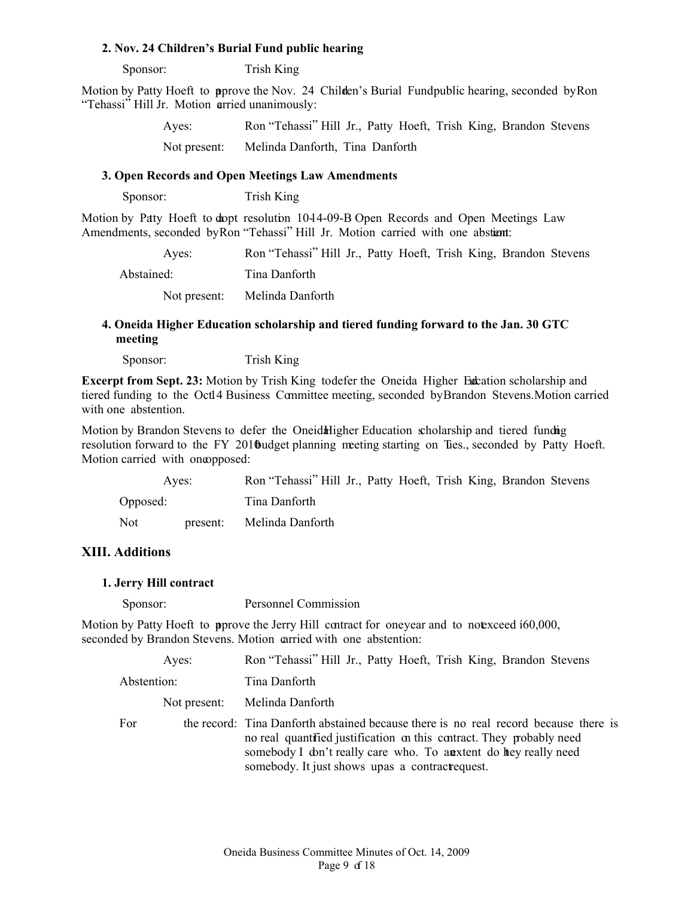#### **2. Nov. 24 Children's Burial Fund public hearing**

**Sponsor:** Trish King

Motion by Patty Hoeft to pprove the Nov. 24 Childen's Burial Fund public hearing, seconded by Ron "Tehassi" Hill Jr. Motion arried unanimously:

| Aves:        | Ron "Tehassi" Hill Jr., Patty Hoeft, Trish King, Brandon Stevens |  |  |  |
|--------------|------------------------------------------------------------------|--|--|--|
| Not present: | Melinda Danforth, Tina Danforth                                  |  |  |  |

## **3. Open Records and Open Meetings Law Amendments**

**Sponsor:** Trish King

Motion by Patty Hoeft to dopt resolution 10-14-09-B Open Records and Open Meetings Law Amendments, seconded by Ron "Tehassi" Hill Jr. Motion carried with one abstiant:

| Aves:        | Ron "Tehassi" Hill Jr., Patty Hoeft, Trish King, Brandon Stevens |
|--------------|------------------------------------------------------------------|
| Abstained:   | Tina Danforth                                                    |
| Not present: | Melinda Danforth                                                 |

## **4. Oneida Higher Education scholarship and tiered funding forward to the Jan. 30 GTC meeting**

**Sponsor:** Trish King

**Excerpt from Sept. 23:** Motion by Trish King to defer the Oneida Higher Endeation scholarship and tiered funding to the Octl4 Business Committee meeting, seconded by Brandon Stevens. Motion carried with one abstention.

Motion by Brandon Stevens to defer the Oneid Higher Education scholarship and tiered funding resolution forward to the FY 2010 budget planning meeting starting on Ties., seconded by Patty Hoeft. Motion carried with one opposed:

| Aves:    |          | Ron "Tehassi" Hill Jr., Patty Hoeft, Trish King, Brandon Stevens |  |  |  |  |
|----------|----------|------------------------------------------------------------------|--|--|--|--|
| Opposed: |          | Tina Danforth                                                    |  |  |  |  |
| Not      | present: | Melinda Danforth                                                 |  |  |  |  |

#### **XIII. Additions**

#### **1. Jerry Hill contract**

**Sponsor:** Personnel Commission

Motion by Patty Hoeft to pprove the Jerry Hill contract for oneyear and to not exceed  $60,000$ , seconded by Brandon Stevens. Motion carried with one abstention:

| Aves:       |              | Ron "Tehassi" Hill Jr., Patty Hoeft, Trish King, Brandon Stevens                                                                                                                                                                                                                     |
|-------------|--------------|--------------------------------------------------------------------------------------------------------------------------------------------------------------------------------------------------------------------------------------------------------------------------------------|
| Abstention: |              | Tina Danforth                                                                                                                                                                                                                                                                        |
|             | Not present: | Melinda Danforth                                                                                                                                                                                                                                                                     |
| For         |              | the record: Tina Danforth abstained because there is no real record because there is<br>no real quantitied justification on this contract. They probably need<br>somebody I don't really care who. To any tent do hey really need<br>somebody. It just shows upas a contract equest. |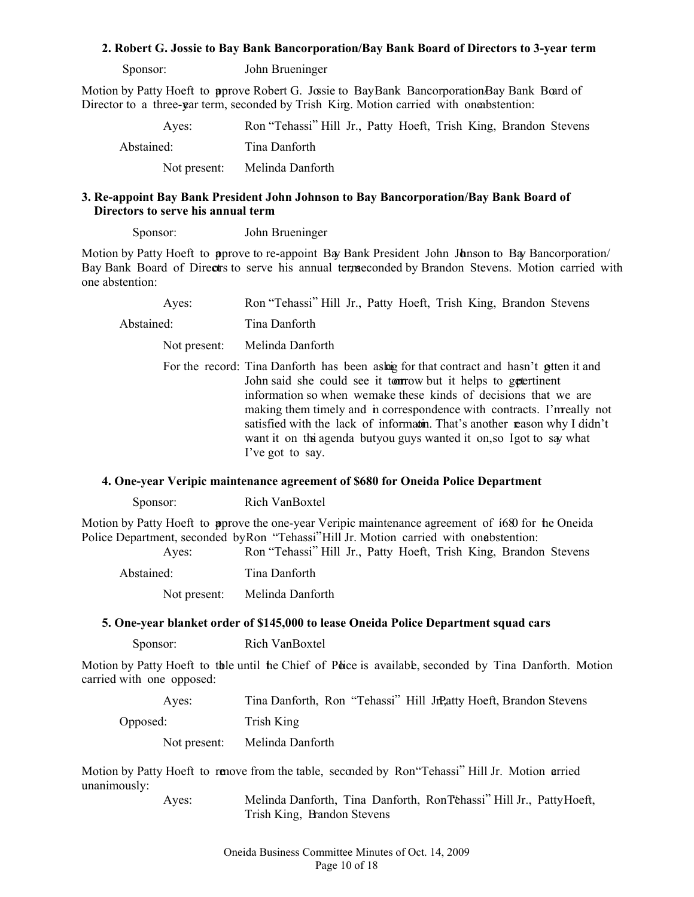#### **2. Robert G. Jossie to Bay Bank Bancorporation/Bay Bank Board of Directors to 3-year term**

**Sponsor:** John Brueninger

Motion by Patty Hoeft to **a**prove Robert G. Jossie to BayBank BancorporationBay Bank Board of Director to a three-var term, seconded by Trish King. Motion carried with one abstention:

 Ayes: Ron "Tehassi" Hill Jr., Patty Hoeft, Trish King, Brandon Stevens Abstained: Tina Danforth Not present: Melinda Danforth

## **3. Re-appoint Bay Bank President John Johnson to Bay Bancorporation/Bay Bank Board of Directors to serve his annual term**

**Sponsor:** John Brueninger

Motion by Patty Hoeft to **a**pprove to re-appoint Bay Bank President John Janson to Bay Bancorporation Bay Bank Board of Directrs to serve his annual termseconded by Brandon Stevens. Motion carried with one abstention:

 Ayes: Ron "Tehassi" Hill Jr., Patty Hoeft, Trish King, Brandon Stevens Abstained: Tina Danforth Not present: Melinda Danforth For the record: Tina Danforth has been asking for that contract and hasn't gitten it and John said she could see it to to worth it helps to get pertinent information so when we make these kinds of decisions that we are making them timely and in correspondence with contracts. I'm really not satisfied with the lack of information. That's another reason why I didn't want it on the agenda butyou guys wanted it on, so I got to say what

#### **4. One-year Veripic maintenance agreement of \$680 for Oneida Police Department**

I've got to say.

**Sponsor:** Rich VanBoxtel

Motion by Patty Hoeft to pprove the one-year Veripic maintenance agreement of  $1680$  for the Oneida Police Department, seconded by Ron "Tehassi" Hill Jr. Motion carried with one bstention: Ayes: Ron "Tehassi" Hill Jr., Patty Hoeft, Trish King, Brandon Stevens

Abstained: Tina Danforth

Not present: Melinda Danforth

## **5. One-year blanket order of \$145,000 to lease Oneida Police Department squad cars**

**Sponsor:** Rich VanBoxtel

Motion by Patty Hoeft to the until the Chief of Police is available, seconded by Tina Danforth. Motion carried with one opposed:

| Aves:        | Tina Danforth, Ron "Tehassi" Hill JrP, atty Hoeft, Brandon Stevens |
|--------------|--------------------------------------------------------------------|
| Opposed:     | Trish King                                                         |
| Not present: | Melinda Danforth                                                   |

Motion by Patty Hoeft to renove from the table, seconded by Ron "Tehassi" Hill Jr. Motion arried unanimously:

 Ayes: Melinda Danforth, Tina Danforth, Ron "Tehassi" Hill Jr., Patty Hoeft, Trish King, Brandon Stevens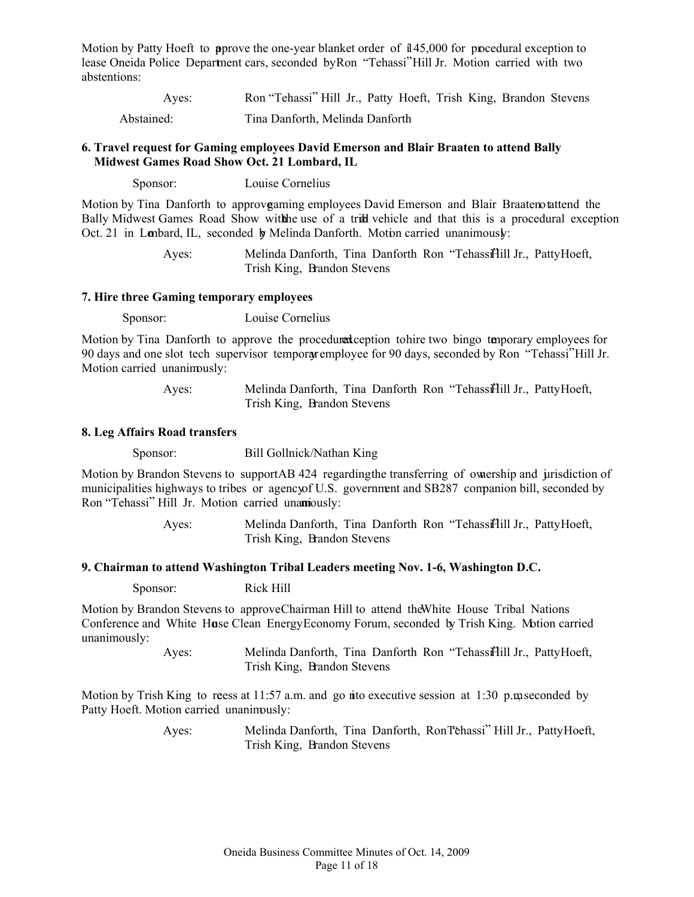Motion by Patty Hoeft to prove the one-year blanket order of  $145,000$  for procedural exception to lease Oneida Police Department cars, seconded by Ron "Tehassi" Hill Jr. Motion carried with two abstentions:

 Ayes: Ron "Tehassi" Hill Jr., Patty Hoeft, Trish King, Brandon Stevens Abstained: Tina Danforth, Melinda Danforth

#### **6. Travel request for Gaming employees David Emerson and Blair Braaten to attend Bally Midwest Games Road Show Oct. 21 Lombard, IL**

Sponsor: Louise Cornelius

Motion by Tina Danforth to approve aming employees David Emerson and Blair Braaten tattend the Bally Midwest Games Road Show with the use of a tribal vehicle and that this is a procedural exception Oct. 21 in Lombard, IL, seconded by Melinda Danforth. Motion carried unanimously:

> Ayes: Melinda Danforth, Tina Danforth Ron "Tehassi<sup>n</sup>ill Jr., Patty Hoeft, Trish King, Brandon Stevens

#### **7. Hire three Gaming temporary employees**

Sponsor: Louise Cornelius

Motion by Tina Danforth to approve the procedural execution to hire two bingo temporary employees for 90 days and one slot tech supervisor temporary employee for 90 days, seconded by Ron "Tehassi" Hill Jr. Motion carried unanimously:

> Ayes: Melinda Danforth, Tina Danforth Ron "Tehassifiill Jr., Patty Hoeft, Trish King, Brandon Stevens

#### **8. Leg Affairs Road transfers**

**Sponsor:** Bill Gollnick/Nathan King

Motion by Brandon Stevens to support AB 424 regarding the transferring of ownership and jurisdiction of municipalities highways to tribes or agency of U.S. government and SB287 companion bill, seconded by Ron "Tehassi" Hill Jr. Motion carried unamously:

> Ayes: Melinda Danforth, Tina Danforth Ron "Tehassifiill Jr., Patty Hoeft, Trish King, Brandon Stevens

## **9. Chairman to attend Washington Tribal Leaders meeting Nov. 1-6, Washington D.C.**

Sponsor: Rick Hill

Motion by Brandon Stevens to approve Chairman Hill to attend the White House Tribal Nations Conference and White Huse Clean Energy Economy Forum, seconded by Trish King. Motion carried unanimously:

> Ayes: Melinda Danforth, Tina Danforth Ron "Tehassifiill Jr., Patty Hoeft, Trish King, Brandon Stevens

Motion by Trish King to reess at 11:57 a.m. and go into executive session at 1:30 p.m. seconded by Patty Hoeft. Motion carried unanimously:

> Ayes: Melinda Danforth, Tina Danforth, Ron "Tehassi" Hill Jr., Patty Hoeft, Trish King, Brandon Stevens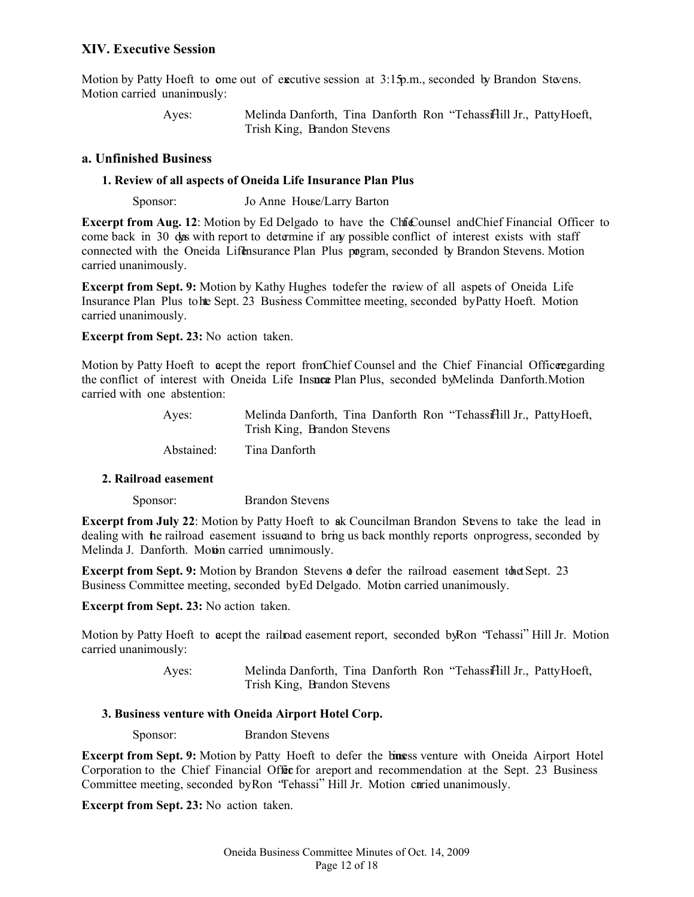## **XIV. Executive Session**

Motion by Patty Hoeft to ome out of executive session at 3:15 p.m., seconded by Brandon Stevens. Motion carried unanimously:

> Ayes: Melinda Danforth, Tina Danforth Ron "Tehassifill Jr., Patty Hoeft, Trish King, Brandon Stevens

## **a. Unfinished Business**

## **1. Review of all aspects of Oneida Life Insurance Plan Plus**

**Sponsor:** Jo Anne House/Larry Barton

**Excerpt from Aug. 12:** Motion by Ed Delgado to have the Chie Counsel and Chief Financial Officer to come back in 30 das with report to determine if any possible conflict of interest exists with staff connected with the Oneida Lifensurance Plan Plus pogram, seconded by Brandon Stevens. Motion carried unanimously.

**Excerpt from Sept. 9:** Motion by Kathy Hughes to defer the review of all aspets of Oneida Life Insurance Plan Plus to the Sept. 23 Business Committee meeting, seconded by Patty Hoeft. Motion carried unanimously.

**Excerpt from Sept. 23:** No action taken.

Motion by Patty Hoeft to accept the report from Chief Counsel and the Chief Financial Officer garding the conflict of interest with Oneida Life Insuce Plan Plus, seconded by Melinda Danforth. Motion carried with one abstention:

| Aves:      | Melinda Danforth, Tina Danforth Ron "Tehassifill Jr., PattyHoeft, |
|------------|-------------------------------------------------------------------|
|            | Trish King, Brandon Stevens                                       |
| Abstained: | Tina Danforth                                                     |

#### **2. Railroad easement**

**Sponsor:** Brandon Stevens

**Excerpt from July 22:** Motion by Patty Hoeft to ak Councilman Brandon Sevens to take the lead in dealing with the railroad easement issue and to bring us back monthly reports on progress, seconded by Melinda J. Danforth. Motin carried unanimously.

**Excerpt from Sept. 9:** Motion by Brandon Stevens  $\phi$  defer the railroad easement to the Sept. 23 Business Committee meeting, seconded by Ed Delgado. Motion carried unanimously.

**Excerpt from Sept. 23:** No action taken.

Motion by Patty Hoeft to acept the railroad easement report, seconded by Ron "Tehassi" Hill Jr. Motion carried unanimously:

> Ayes: Melinda Danforth, Tina Danforth Ron "Tehassifiill Jr., Patty Hoeft, Trish King, Brandon Stevens

#### **3. Business venture with Oneida Airport Hotel Corp.**

**Sponsor:** Brandon Stevens

**Excerpt from Sept. 9:** Motion by Patty Hoeft to defer the buses venture with Oneida Airport Hotel Corporation to the Chief Financial Office for a report and recommendation at the Sept. 23 Business Committee meeting, seconded by Ron "Tehassi" Hill Jr. Motion carried unanimously.

**Excerpt from Sept. 23:** No action taken.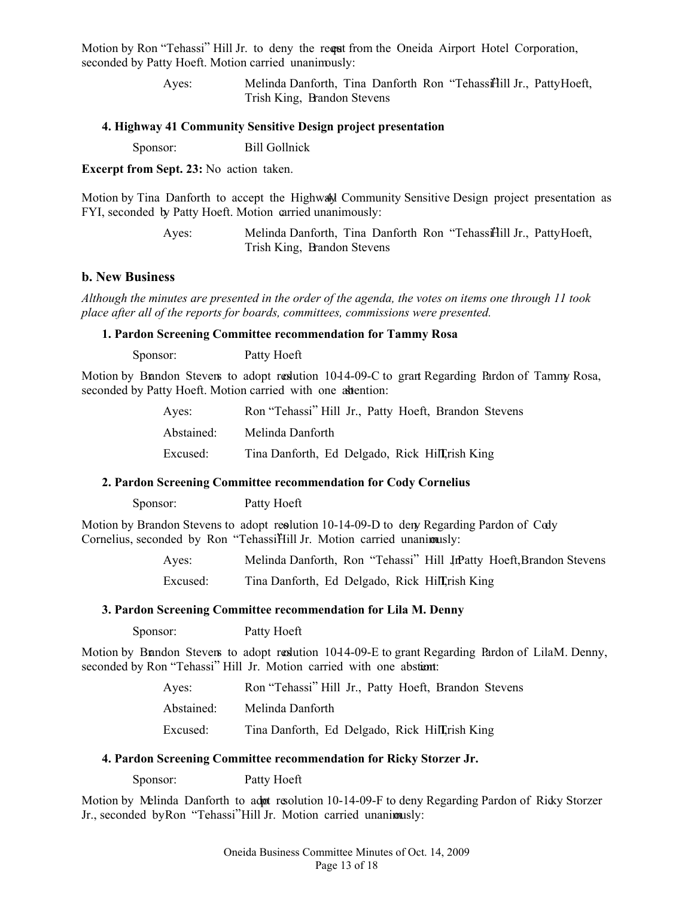Motion by Ron "Tehassi" Hill Jr. to deny the requant from the Oneida Airport Hotel Corporation, seconded by Patty Hoeft. Motion carried unanimously:

> Ayes: Melinda Danforth, Tina Danforth Ron "Tehassifiill Jr., Patty Hoeft, Trish King, Brandon Stevens

#### **4. Highway 41 Community Sensitive Design project presentation**

Sponsor: Bill Gollnick

**Excerpt from Sept. 23:** No action taken.

Motion by Tina Danforth to accept the Highway Community Sensitive Design project presentation as FYI, seconded by Patty Hoeft. Motion carried unanimously:

> Ayes: Melinda Danforth, Tina Danforth Ron "Tehassifiill Jr., Patty Hoeft, Trish King, Brandon Stevens

#### **b. New Business**

*Although the minutes are presented in the order of the agenda, the votes on items one through 11 took place after all of the reports for boards, committees, commissions were presented.* 

## **1. Pardon Screening Committee recommendation for Tammy Rosa**

**Sponsor:** Patty Hoeft

Motion by Bandon Stevens to adopt redution 10-14-09-C to grant Regarding Pardon of Tammy Rosa, seconded by Patty Hoeft. Motion carried with one attention:

| Aves:      | Ron "Tehassi" Hill Jr., Patty Hoeft, Brandon Stevens |
|------------|------------------------------------------------------|
| Abstained: | Melinda Danforth                                     |
| Excused:   | Tina Danforth, Ed Delgado, Rick Hill rish King       |

#### **2. Pardon Screening Committee recommendation for Cody Cornelius**

**Sponsor:** Patty Hoeft

Motion by Brandon Stevens to adopt resolution  $10-14-09-D$  to deny Regarding Pardon of Cody Cornelius, seconded by Ron "TehassiHill Jr. Motion carried unanimusly:

> Ayes: Melinda Danforth, Ron "Tehassi" Hill JrPatty Hoeft, Brandon Stevens Excused: Tina Danforth, Ed Delgado, Rick Hill, Trish King

#### **3. Pardon Screening Committee recommendation for Lila M. Denny**

Sponsor: Patty Hoeft

Motion by Bandon Stevens to adopt resolution 1044-09-E to grant Regarding Pardon of LilaM. Denny, seconded by Ron "Tehassi" Hill Jr. Motion carried with one abstiant:

| Aves:      | Ron "Tehassi" Hill Jr., Patty Hoeft, Brandon Stevens |  |  |
|------------|------------------------------------------------------|--|--|
| Abstained: | Melinda Danforth                                     |  |  |
| Excused:   | Tina Danforth, Ed Delgado, Rick Hill, rish King      |  |  |

#### **4. Pardon Screening Committee recommendation for Ricky Storzer Jr.**

**Sponsor:** Patty Hoeft

Motion by Melinda Danforth to adot resolution 10-14-09-F to deny Regarding Pardon of Ricky Storzer Jr., seconded by Ron "Tehassi" Hill Jr. Motion carried unanimously: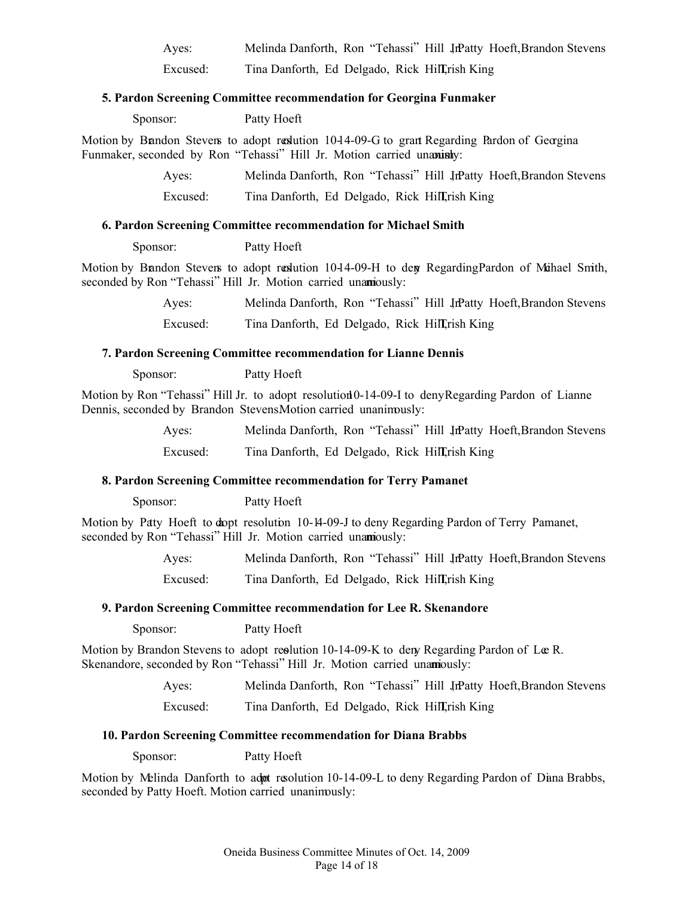Ayes: Melinda Danforth, Ron "Tehassi" Hill JrPatty Hoeft, Brandon Stevens Excused: Tina Danforth, Ed Delgado, Rick Hill, Trish King

## **5. Pardon Screening Committee recommendation for Georgina Funmaker**

**Sponsor:** Patty Hoeft

Motion by Bandon Stevens to adopt resolution 1044-09-G to grant Regarding Pardon of Georgina Funmaker, seconded by Ron "Tehassi" Hill Jr. Motion carried unanishy:

> Ayes: Melinda Danforth, Ron "Tehassi" Hill Jr. Patty Hoeft, Brandon Stevens Excused: Tina Danforth, Ed Delgado, Rick Hill, Trish King

## **6. Pardon Screening Committee recommendation for Michael Smith**

**Sponsor:** Patty Hoeft

Motion by Bandon Stevens to adopt reslution 10-14-09-H to deny Regarding Pardon of Mihael Smith, seconded by Ron "Tehassi" Hill Jr. Motion carried unamously:

> Ayes: Melinda Danforth, Ron "Tehassi" Hill Jr. Patty Hoeft, Brandon Stevens Excused: Tina Danforth, Ed Delgado, Rick Hill, Trish King

## **7. Pardon Screening Committee recommendation for Lianne Dennis**

**Sponsor:** Patty Hoeft

Motion by Ron "Tehassi" Hill Jr. to adopt resolution 0-14-09-I to deny Regarding Pardon of Lianne Dennis, seconded by Brandon StevensMotion carried unanimously:

| Aves:    | Melinda Danforth, Ron "Tehassi" Hill JrPatty Hoeft, Brandon Stevens |
|----------|---------------------------------------------------------------------|
| Excused: | Tina Danforth, Ed Delgado, Rick Hill, rish King                     |

## **8. Pardon Screening Committee recommendation for Terry Pamanet**

**Sponsor:** Patty Hoeft

Motion by Patty Hoeft to dopt resolution 10-14-09-J to deny Regarding Pardon of Terry Pamanet, seconded by Ron "Tehassi" Hill Jr. Motion carried unamously:

> Ayes: Melinda Danforth, Ron "Tehassi" Hill JrPatty Hoeft, Brandon Stevens Excused: Tina Danforth, Ed Delgado, Rick Hill, Trish King

#### **9. Pardon Screening Committee recommendation for Lee R. Skenandore**

**Sponsor:** Patty Hoeft

Motion by Brandon Stevens to adopt resolution  $10-14-09-K$  to deny Regarding Pardon of Loc R. Skenandore, seconded by Ron "Tehassi" Hill Jr. Motion carried unamously:

Ayes: Melinda Danforth, Ron "Tehassi" Hill JrPatty Hoeft, Brandon Stevens

Excused: Tina Danforth, Ed Delgado, Rick Hill, Trish King

#### **10. Pardon Screening Committee recommendation for Diana Brabbs**

Sponsor: Patty Hoeft

Motion by Melinda Danforth to adnot resolution 10-14-09-L to deny Regarding Pardon of Diana Brabbs, seconded by Patty Hoeft. Motion carried unanimously: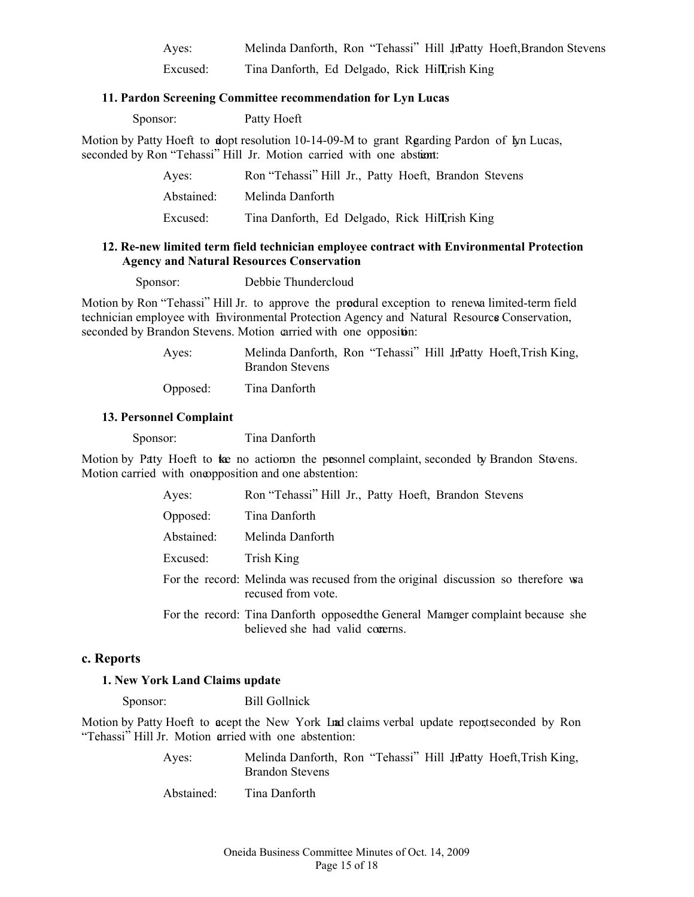Ayes: Melinda Danforth, Ron "Tehassi" Hill JrPatty Hoeft, Brandon Stevens Excused: Tina Danforth, Ed Delgado, Rick Hill, Trish King

#### **11. Pardon Screening Committee recommendation for Lyn Lucas**

**Sponsor:** Patty Hoeft

Motion by Patty Hoeft to dopt resolution  $10-14-09-M$  to grant Regarding Pardon of Lyn Lucas, seconded by Ron "Tehassi" Hill Jr. Motion carried with one abstant:

| Aves:      | Ron "Tehassi" Hill Jr., Patty Hoeft, Brandon Stevens |
|------------|------------------------------------------------------|
| Abstained: | Melinda Danforth                                     |
| Excused:   | Tina Danforth, Ed Delgado, Rick Hill rish King       |

## **12. Re-new limited term field technician employee contract with Environmental Protection Agency and Natural Resources Conservation**

**Sponsor:** Debbie Thundercloud

Motion by Ron "Tehassi" Hill Jr. to approve the produral exception to renewa limited-term field technician employee with Environmental Protection Agency and Natural Resource Conservation, seconded by Brandon Stevens. Motion carried with one opposition:

> Ayes: Melinda Danforth, Ron "Tehassi" Hill JrPatty Hoeft, Trish King, Brandon Stevens

Opposed: Tina Danforth

## **13. Personnel Complaint**

Sponsor: Tina Danforth

Motion by Patty Hoeft to take no action the presonnel complaint, seconded by Brandon Stevens. Motion carried with one opposition and one abstention:

| Ayes:      | Ron "Tehassi" Hill Jr., Patty Hoeft, Brandon Stevens                                                               |
|------------|--------------------------------------------------------------------------------------------------------------------|
| Opposed:   | Tina Danforth                                                                                                      |
| Abstained: | Melinda Danforth                                                                                                   |
| Excused:   | Trish King                                                                                                         |
|            | For the record: Melinda was recused from the original discussion so therefore was<br>recused from vote.            |
|            | For the record: Tina Danforth opposed the General Manager complaint because she<br>believed she had valid coverns. |

#### **c. Reports**

## **1. New York Land Claims update**

Sponsor: Bill Gollnick

Motion by Patty Hoeft to acept the New York Land claims verbal update reportseconded by Ron "Tehassi" Hill Jr. Motion arried with one abstention:

| Aves:      | Melinda Danforth, Ron "Tehassi" Hill JrPatty Hoeft, Trish King,<br>Brandon Stevens |
|------------|------------------------------------------------------------------------------------|
| Abstained: | Tina Danforth                                                                      |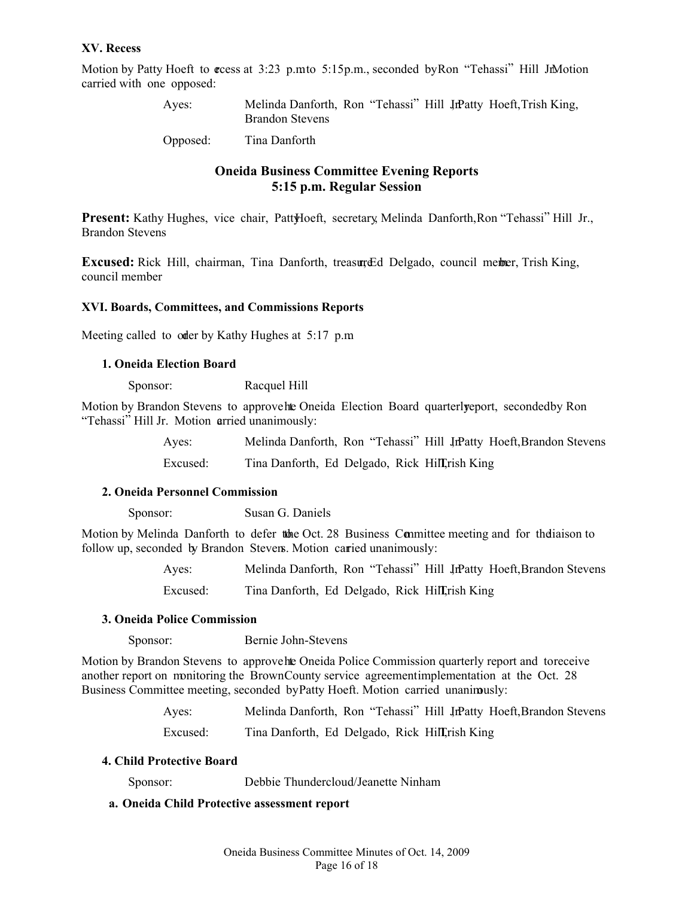## **XV. Recess**

Motion by Patty Hoeft to cress at 3:23 p.mto 5:15 p.m., seconded by Ron "Tehassi" Hill JnMotion carried with one opposed:

| Aves:    | Melinda Danforth, Ron "Tehassi" Hill JrPatty Hoeft, Trish King,<br><b>Brandon Stevens</b> |
|----------|-------------------------------------------------------------------------------------------|
| Opposed: | Tina Danforth                                                                             |

## **Oneida Business Committee Evening Reports 5:15 p.m. Regular Session**

**Present:** Kathy Hughes, vice chair, Patt\Hoeft, secretary, Melinda Danforth, Ron "Tehassi" Hill Jr., Brandon Stevens

**Excused:** Rick Hill, chairman, Tina Danforth, treasure Ed Delgado, council member, Trish King, council member

#### **XVI. Boards, Committees, and Commissions Reports**

Meeting called to oder by Kathy Hughes at 5:17 p.m.

## **1. Oneida Election Board**

Sponsor: Racquel Hill

Motion by Brandon Stevens to approve he Oneida Election Board quarterly eport, seconded by Ron "Tehassi" Hill Jr. Motion arried unanimously:

| Aves:    | Melinda Danforth, Ron "Tehassi" Hill JrPatty Hoeft, Brandon Stevens |
|----------|---------------------------------------------------------------------|
| Excused: | Tina Danforth, Ed Delgado, Rick Hill, rish King                     |

#### **2. Oneida Personnel Commission**

Sponsor: Susan G. Daniels

Motion by Melinda Danforth to defer the Oct. 28 Business Committee meeting and for the liaison to follow up, seconded by Brandon Stevens. Motion carried unanimously:

> Ayes: Melinda Danforth, Ron "Tehassi" Hill JrPatty Hoeft, Brandon Stevens Excused: Tina Danforth, Ed Delgado, Rick Hill, rish King

#### **3. Oneida Police Commission**

Sponsor: Bernie John-Stevens

Motion by Brandon Stevens to approve he Oneida Police Commission quarterly report and to receive another report on monitoring the Brown County service agreement implementation at the Oct. 28 Business Committee meeting, seconded by Patty Hoeft. Motion carried unanimously:

> Ayes: Melinda Danforth, Ron "Tehassi" Hill JrPatty Hoeft, Brandon Stevens Excused: Tina Danforth, Ed Delgado, Rick Hill, rish King

#### **4. Child Protective Board**

Sponsor: Debbie Thundercloud/Jeanette Ninham

## **a. Oneida Child Protective assessment report**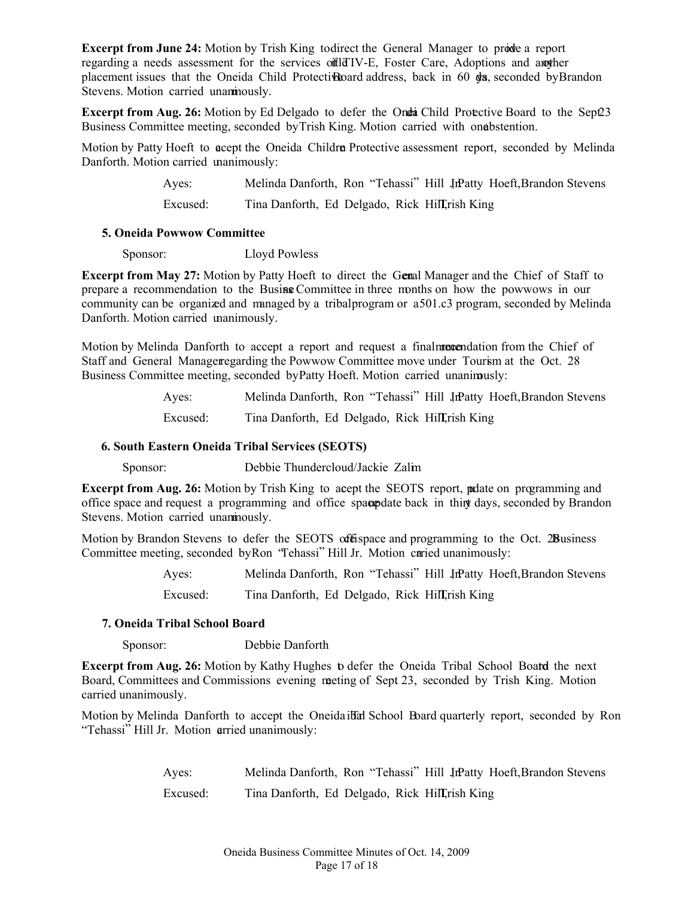**Excerpt from June 24:** Motion by Trish King to direct the General Manager to provide a report regarding a needs assessment for the services of the IV-E, Foster Care, Adoptions and any ther placement issues that the Oneida Child Protective Board address, back in  $60$  days, seconded by Brandon Stevens. Motion carried unanimously.

**Excerpt from Aug. 26:** Motion by Ed Delgado to defer the Ondia Child Protective Board to the Sept23 Business Committee meeting, seconded by Trish King. Motion carried with one bstention.

Motion by Patty Hoeft to acept the Oneida Childra Protective assessment report, seconded by Melinda Danforth. Motion carried unanimously:

> Ayes: Melinda Danforth, Ron "Tehassi" Hill Jr. Hoeft, Brandon Stevens Excused: Tina Danforth, Ed Delgado, Rick Hill, Trish King

#### **5. Oneida Powwow Committee**

Sponsor: Lloyd Powless

**Excerpt from May 27:** Motion by Patty Hoeft to direct the Genal Manager and the Chief of Staff to prepare a recommendation to the Busine Committee in three months on how the powwows in our community can be organized and managed by a tribal program or a 501.c3 program, seconded by Melinda Danforth. Motion carried unanimously.

Motion by Melinda Danforth to accept a report and request a final **reportation** from the Chief of Staff and General Manager egarding the Powwow Committee move under Tourism at the Oct. 28 Business Committee meeting, seconded by Patty Hoeft. Motion carried unanimously:

> Ayes: Melinda Danforth, Ron "Tehassi" Hill JrPatty Hoeft, Brandon Stevens Excused: Tina Danforth, Ed Delgado, Rick Hill, Trish King

## **6. South Eastern Oneida Tribal Services (SEOTS)**

Sponsor: Debbie Thundercloud/Jackie Zalim

**Excerpt from Aug. 26:** Motion by Trish King to acept the SEOTS report, polate on programming and office space and request a programming and office space back in thirty days, seconded by Brandon Stevens. Motion carried unanimously.

Motion by Brandon Stevens to defer the SEOTS offerspace and programming to the Oct. 28 Business Committee meeting, seconded by Ron "Tehassi" Hill Jr. Motion carried unanimously:

Ayes: Melinda Danforth, Ron "Tehassi" Hill JrPatty Hoeft, Brandon Stevens

Excused: Tina Danforth, Ed Delgado, Rick Hill, Trish King

## **7. Oneida Tribal School Board**

Sponsor: Debbie Danforth

**Excerpt from Aug. 26:** Motion by Kathy Hughes to defer the Oneida Tribal School Board the next Board, Committees and Commissions evening meting of Sept 23, seconded by Trish King. Motion carried unanimously.

Motion by Melinda Danforth to accept the Oneida ideal School Board quarterly report, seconded by Ron "Tehassi" Hill Jr. Motion arried unanimously:

> Ayes: Melinda Danforth, Ron "Tehassi" Hill JrPatty Hoeft, Brandon Stevens Excused: Tina Danforth, Ed Delgado, Rick Hill, Trish King